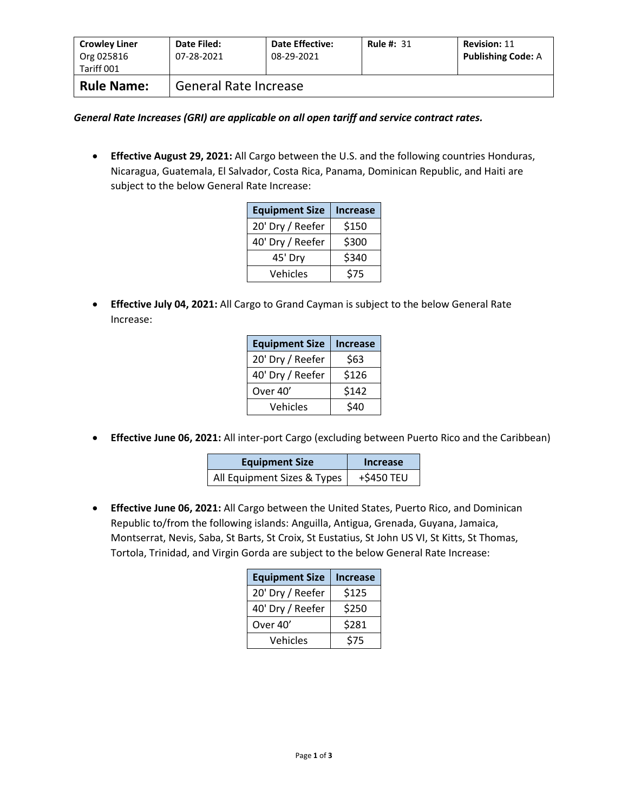| <b>Crowley Liner</b><br>Org 025816<br>Tariff 001 | Date Filed:<br>07-28-2021    | <b>Date Effective:</b><br>08-29-2021 | <b>Rule #: 31</b> | <b>Revision: 11</b><br><b>Publishing Code: A</b> |
|--------------------------------------------------|------------------------------|--------------------------------------|-------------------|--------------------------------------------------|
| <b>Rule Name:</b>                                | <b>General Rate Increase</b> |                                      |                   |                                                  |

*General Rate Increases (GRI) are applicable on all open tariff and service contract rates.*

• **Effective August 29, 2021:** All Cargo between the U.S. and the following countries Honduras, Nicaragua, Guatemala, El Salvador, Costa Rica, Panama, Dominican Republic, and Haiti are subject to the below General Rate Increase:

| <b>Equipment Size</b> | <b>Increase</b> |
|-----------------------|-----------------|
| 20' Dry / Reefer      | \$150           |
| 40' Dry / Reefer      | \$300           |
| 45' Dry               | \$340           |
| Vehicles              | \$75            |

• **Effective July 04, 2021:** All Cargo to Grand Cayman is subject to the below General Rate Increase:

| <b>Equipment Size</b> | <b>Increase</b> |
|-----------------------|-----------------|
| 20' Dry / Reefer      | \$63            |
| 40' Dry / Reefer      | \$126           |
| Over 40'              | \$142           |
| Vehicles              | \$40            |

• **Effective June 06, 2021:** All inter-port Cargo (excluding between Puerto Rico and the Caribbean)

| <b>Equipment Size</b>       | Increase   |  |
|-----------------------------|------------|--|
| All Equipment Sizes & Types | +\$450 TEU |  |

• **Effective June 06, 2021:** All Cargo between the United States, Puerto Rico, and Dominican Republic to/from the following islands: Anguilla, Antigua, Grenada, Guyana, Jamaica, Montserrat, Nevis, Saba, St Barts, St Croix, St Eustatius, St John US VI, St Kitts, St Thomas, Tortola, Trinidad, and Virgin Gorda are subject to the below General Rate Increase:

| <b>Equipment Size</b> | <b>Increase</b> |
|-----------------------|-----------------|
| 20' Dry / Reefer      | \$125           |
| 40' Dry / Reefer      | \$250           |
| Over 40'              | \$281           |
| Vehicles              | \$75            |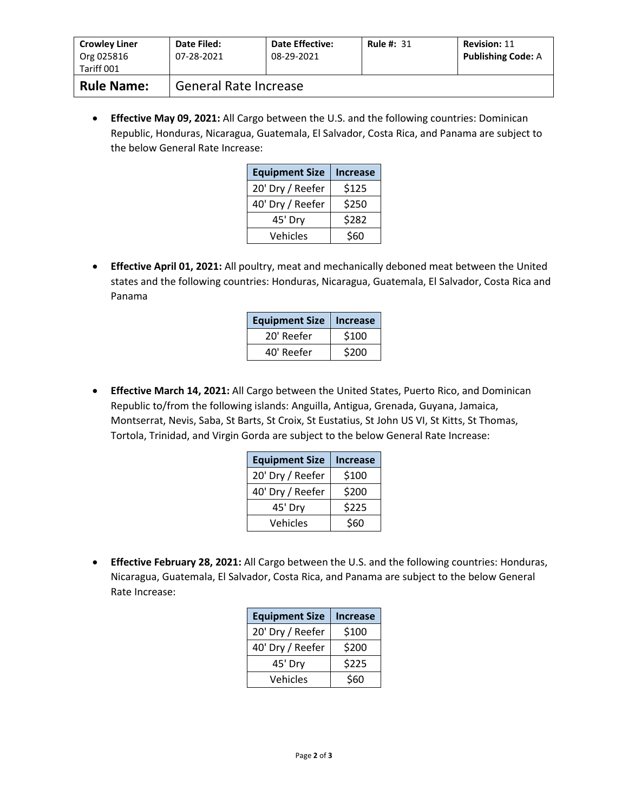| <b>Crowley Liner</b><br>Org 025816<br>Tariff 001 | Date Filed:<br>07-28-2021    | <b>Date Effective:</b><br>08-29-2021 | <b>Rule #: 31</b> | <b>Revision: 11</b><br><b>Publishing Code: A</b> |
|--------------------------------------------------|------------------------------|--------------------------------------|-------------------|--------------------------------------------------|
| <b>Rule Name:</b>                                | <b>General Rate Increase</b> |                                      |                   |                                                  |

• **Effective May 09, 2021:** All Cargo between the U.S. and the following countries: Dominican Republic, Honduras, Nicaragua, Guatemala, El Salvador, Costa Rica, and Panama are subject to the below General Rate Increase:

| <b>Equipment Size</b> | <b>Increase</b> |
|-----------------------|-----------------|
| 20' Dry / Reefer      | \$125           |
| 40' Dry / Reefer      | \$250           |
| 45' Dry               | \$282           |
| Vehicles              | \$60            |

• **Effective April 01, 2021:** All poultry, meat and mechanically deboned meat between the United states and the following countries: Honduras, Nicaragua, Guatemala, El Salvador, Costa Rica and Panama

| <b>Equipment Size</b> | Increase |
|-----------------------|----------|
| 20' Reefer            | \$100    |
| 40' Reefer            | \$200    |

• **Effective March 14, 2021:** All Cargo between the United States, Puerto Rico, and Dominican Republic to/from the following islands: Anguilla, Antigua, Grenada, Guyana, Jamaica, Montserrat, Nevis, Saba, St Barts, St Croix, St Eustatius, St John US VI, St Kitts, St Thomas, Tortola, Trinidad, and Virgin Gorda are subject to the below General Rate Increase:

| <b>Equipment Size</b> | <b>Increase</b> |
|-----------------------|-----------------|
| 20' Dry / Reefer      | \$100           |
| 40' Dry / Reefer      | \$200           |
| 45' Dry               | \$225           |
| Vehicles              | \$60            |

• **Effective February 28, 2021:** All Cargo between the U.S. and the following countries: Honduras, Nicaragua, Guatemala, El Salvador, Costa Rica, and Panama are subject to the below General Rate Increase:

| <b>Equipment Size</b> | <b>Increase</b> |
|-----------------------|-----------------|
| 20' Dry / Reefer      | \$100           |
| 40' Dry / Reefer      | \$200           |
| 45' Dry               | \$225           |
| Vehicles              | \$60            |